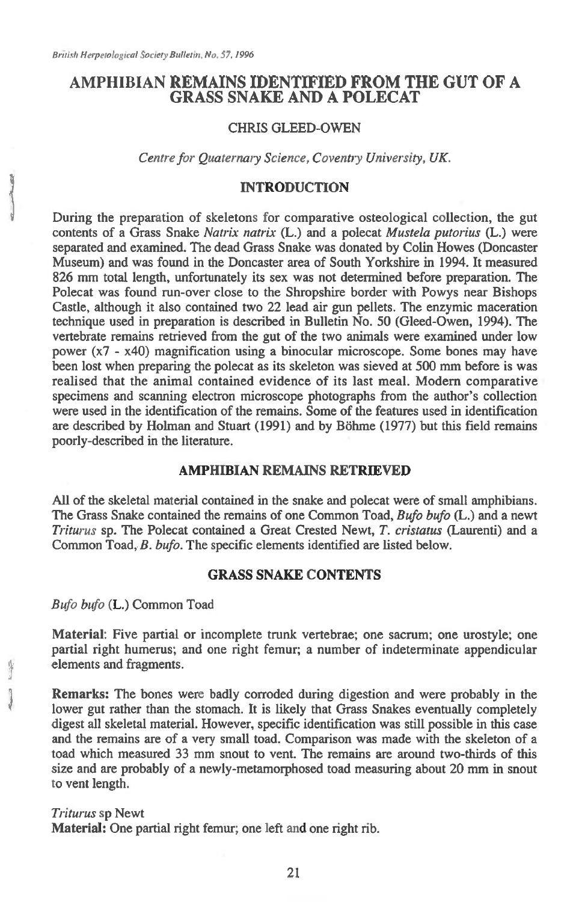## **AMPHIBIAN REMAINS IDENTIFIED FROM THE GUT OF A GRASS SNAKE AND A POLECAT**

### CHRIS GLEED-OWEN

*Centre for Quaternary Science, Coventry University, UK.* 

### **INTRODUCTION**

During the preparation of skeletons for comparative osteological collection, the gut contents of a Grass Snake *Natrix natrix* (L.) and a polecat *Mustela putorius* (L.) were separated and examined. The dead Grass Snake was donated by Colin Howes (Doncaster Museum) and was found in the Doncaster area of South Yorkshire in 1994. It measured 826 mm total length, unfortunately its sex was not determined before preparation. The Polecat was found run-over close to the Shropshire border with Powys near Bishops Castle, although it also contained two 22 lead air gun pellets. The enzymic maceration technique used in preparation is described in Bulletin No. 50 (Gleed-Owen, 1994). The vertebrate remains retrieved from the gut of the two animals were examined under low power (x7 - x40) magnification using a binocular microscope. Some bones may have been lost when preparing the polecat as its skeleton was sieved at 500 mm before is was realised that the animal contained evidence of its last meal. Modern comparative specimens and scanning electron microscope photographs from the author's collection were used in the identification of the remains. Some of the features used in identification are described by Holman and Stuart (1991) and by Böhme (1977) but this field remains poorly-described in the literature.

### **AMPHIBIAN REMAINS RETRIEVED**

All of the skeletal material contained in the snake and polecat were of small amphibians. The Grass Snake contained the remains of one Common Toad, *Bufo bufo* (L.) and a newt *Triturus* sp. The Polecat contained a Great Crested Newt, *T. cristatus* (Laurenti) and a Common Toad, *B. bufo.* The specific elements identified are listed below.

# **GRASS SNAKE CONTENTS**

*Bufo bufo* **(L.)** Common Toad

**Material:** Five partial or incomplete trunk vertebrae; one sacrum; one urostyle; one partial right humerus; and one right femur; a number of indeterminate appendicular elements and fragments.

**Remarks:** The bones were badly corroded during digestion and were probably in the lower gut rather than the stomach. It is likely that Grass Snakes eventually completely digest all skeletal material. However, specific identification was still possible in this case and the remains are of a very small toad. Comparison was made with the skeleton of a toad which measured 33 mm snout to vent. The remains are around two-thirds of this size and are probably of a newly-metamorphosed toad measuring about 20 mm in snout to vent length.

### *Triturus* sp Newt **Material:** One partial right femur; one left and one right rib.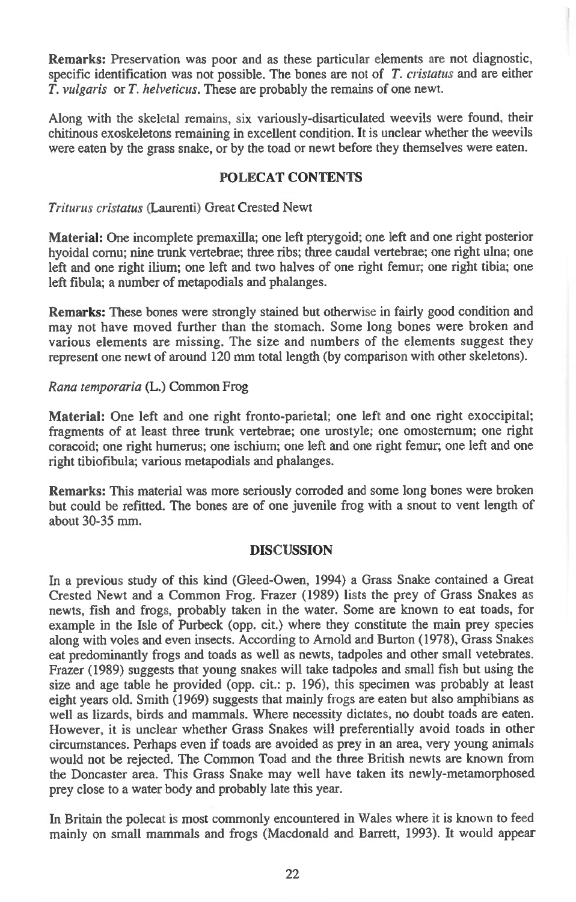**Remarks:** Preservation was poor and as these particular elements are not diagnostic, specific identification was not possible. The bones are not of *T. cristatus* and are either *T. vulgaris* or *T. helveticus.* These are probably the remains of one newt.

Along with the skeletal remains, six variously-disarticulated weevils were found, their chitinous exoskeletons remaining in excellent condition. It is unclear whether the weevils were eaten by the grass snake, or by the toad or newt before they themselves were eaten.

# **POLECAT CONTENTS**

*Triturus cristatus* (Laurenti) Great Crested Newt

**Material:** One incomplete premaxilla; one left pterygoid; one left and one right posterior hyoidal cornu; nine trunk vertebrae; three ribs; three caudal vertebrae; one right ulna; one left and one right ilium; one left and two halves of one right femur; one right tibia; one left fibula; a number of metapodials and phalanges.

**Remarks:** These bones were strongly stained but otherwise in fairly good condition and may not have moved further than the stomach. Some long bones were broken and various elements are missing. The size and numbers of the elements suggest they represent one newt of around 120 mm total length (by comparison with other skeletons).

### *Rana temporaria (L.)* Common Frog

**Material:** One left and one right fronto-parietal; one left and one right exoccipital; fragments of at least three trunk vertebrae; one urostyle; one omosternum; one right coracoid; one right humerus; one ischium; one left and one right femur; one left and one right tibiofibula; various metapodials and phalanges.

**Remarks:** This material was more seriously corroded and some long bones were broken but could be refitted. The bones are of one juvenile frog with a snout to vent length of about 30-35 mm.

### **DISCUSSION**

In a previous study of this kind (Gleed-Owen, 1994) a Grass Snake contained a Great Crested Newt and a Common Frog. Frazer (1989) lists the prey of Grass Snakes as newts, fish and frogs, probably taken in the water. Some are known to eat toads, for example in the Isle of Purbeck (opp. cit.) where they constitute the main prey species along with voles and even insects. According to Arnold and Burton (1978), Grass Snakes eat predominantly frogs and toads as well as newts, tadpoles and other small vetebrates. Frazer (1989) suggests that young snakes will take tadpoles and small fish but using the size and age table he provided (opp. cit.: p. 196), this specimen was probably at least eight years old. Smith (1969) suggests that mainly frogs are eaten but also amphibians as well as lizards, birds and mammals. Where necessity dictates, no doubt toads are eaten. However, it is unclear whether Grass Snakes will preferentially avoid toads in other circumstances. Perhaps even if toads are avoided as prey in an area, very young animals would not be rejected. The Common Toad and the three British newts are known from the Doncaster area. This Grass Snake may well have taken its newly-metamorphosed prey close to a water body and probably late this year.

In Britain the polecat is most commonly encountered in Wales where it is known to feed mainly on small mammals and frogs (Macdonald and Barrett, 1993). It would appear